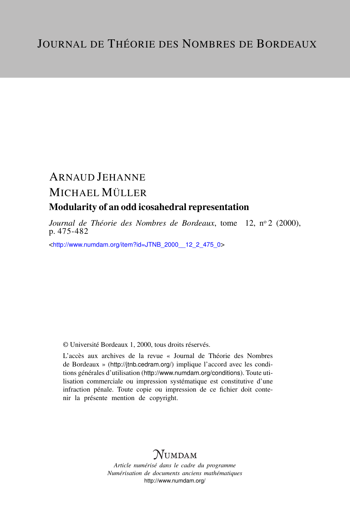# ARNAUD JEHANNE MICHAEL MÜLLER

## Modularity of an odd icosahedral representation

*Journal de Théorie des Nombres de Bordeaux*, tome 12, nº 2 (2000), p. 475-482

<[http://www.numdam.org/item?id=JTNB\\_2000\\_\\_12\\_2\\_475\\_0](http://www.numdam.org/item?id=JTNB_2000__12_2_475_0)>

© Université Bordeaux 1, 2000, tous droits réservés.

L'accès aux archives de la revue « Journal de Théorie des Nombres de Bordeaux » (<http://jtnb.cedram.org/>) implique l'accord avec les conditions générales d'utilisation (<http://www.numdam.org/conditions>). Toute utilisation commerciale ou impression systématique est constitutive d'une infraction pénale. Toute copie ou impression de ce fichier doit contenir la présente mention de copyright.

# **NUMDAM**

*Article numérisé dans le cadre du programme Numérisation de documents anciens mathématiques* <http://www.numdam.org/>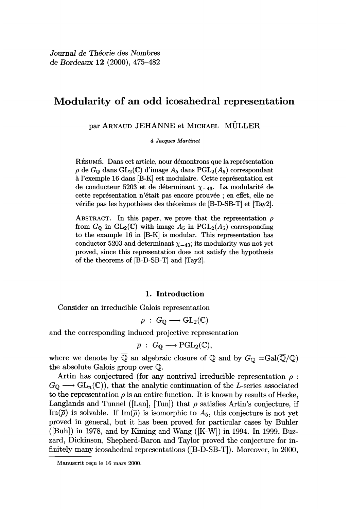### Modularity of an odd icosahedral representation

par ARNAUD JEHANNE et MICHAEL MÜLLER

d Jacques Martinet

RÉSUMÉ. Dans cet article, nour démontrons que la représentation  $\rho$  de  $G_0$  dans  $GL_2(\mathbb{C})$  d'image  $A_5$  dans  $PGL_2(A_5)$  correspondant à l'exemple 16 dans [B-K] est modulaire. Cette représentation est de conducteur 5203 et de déterminant  $\chi_{-43}$ . La modularité de cette représentation n'était pas encore prouvée ; en effet, elle ne vérifie pas les hypothèses des théorèmes de [B-D-SB-T] et [Tay2].

ABSTRACT. In this paper, we prove that the representation  $\rho$ from  $G_0$  in  $GL_2(\mathbb{C})$  with image  $A_5$  in  $PGL_2(A_5)$  corresponding to the example 16 in [B-K] is modular. This representation has conductor 5203 and determinant  $\chi_{-43}$ ; its modularity was not yet proved, since this representation does not satisfy the hypothesis of the theorems of [B-D-SB-T] and [Tay2].

#### 1. Introduction

Consider an irreducible Galois representation

$$
\rho\;:\; G_{\mathbb{O}}\longrightarrow \text{GL}_2(\mathbb{C})
$$

and the corresponding induced projective representation

$$
\overline{\rho}: G_{\mathbb{Q}} \longrightarrow \mathrm{PGL}_2(\mathbb{C}),
$$

where we denote by  $\overline{Q}$  an algebraic closure of Q and by  $G_Q = \text{Gal}(\overline{Q}/Q)$ the absolute Galois group over Q.

Artin has conjectured (for any nontrival irreducible representation  $\rho$ :  $G_0 \longrightarrow GL_n(\mathbb{C})$ , that the analytic continuation of the L-series associated to the representation  $\rho$  is an entire function. It is known by results of Hecke, Langlands and Tunnel ([Lan], [Tun]) that  $\rho$  satisfies Artin's conjecture, if  $\text{Im}(\overline{\rho})$  is solvable. If  $\text{Im}(\overline{\rho})$  is isomorphic to  $A_5$ , this conjecture is not yet proved in general, but it has been proved for particular cases by Buhler  $([Buh])$  in 1978, and by Kiming and Wang  $([K-W])$  in 1994. In 1999, Buzzard, Dickinson, Shepherd-Baron and Taylor proved the conjecture for infinitely many icosahedral representations ([B-D-SB-T]). Moreover, in 2000,

Manuscrit reçu le 16 mars 2000.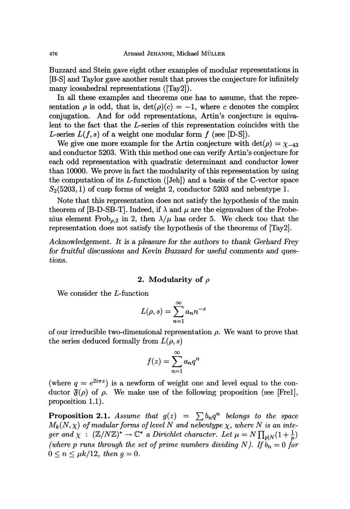Buzzard and Stein gave eight other examples of modular representations in [B-S] and Taylor gave another result that proves the conjecture for infinitely many icosahedral representations ([Tay2]).

In all these examples and theorems one has to assume, that the representation  $\rho$  is odd, that is,  $\det(\rho)(c) = -1$ , where c denotes the complex conjugation. And for odd representations, Artin's conjecture is equivalent to the fact that the L-series of this representation coincides with the L-series  $L(f, s)$  of a weight one modular form f (see [D-S]).

We give one more example for the Artin conjecture with  $det(\rho) = \chi_{-43}$ and conductor 5203. With this method one can verify Artin's conjecture for each odd representation with quadratic determinant and conductor lower than 10000. We prove in fact the modularity of this representation by using the computation of its L-function ([Jeh]) and a basis of the C-vector space  $S<sub>2</sub>(5203, 1)$  of cusp forms of weight 2, conductor 5203 and nebentype 1.

Note that this representation does not satisfy the hypothesis of the main theorem of [B-D-SB-T]. Indeed, if  $\lambda$  and  $\mu$  are the eigenvalues of the Frobenius element Frob<sub> $\rho$ ,2</sub> in 2, then  $\lambda/\mu$  has order 5. We check too that the representation does not satisfy the hypothesis of the theorems of [Tay2].

Acknowledgement. It is a pleasure for the authors to thank Gerhard Frey for fruitful discussions and Kevin Buzzard for useful comments and questions.

#### 2. Modularity of  $\rho$

We consider the L-function

$$
L(\rho, s) = \sum_{n=1}^{\infty} a_n n^{-s}
$$

of our irreducible two-dimensional representation  $\rho$ . We want to prove that the series deduced formally from  $L(\rho, s)$ 

$$
f(z) = \sum_{n=1}^{\infty} a_n q^n
$$

(where  $q = e^{2i\pi z}$ ) is a newform of weight one and level equal to the conductor  $\mathfrak{F}(\rho)$  of  $\rho$ . We make use of the following proposition (see [Frel], proposition 1.1).

**Proposition 2.1.** Assume that  $g(z) = \sum b_n q^n$  belongs to the space  $M_k(N, \chi)$  of modular forms of level N and nebentype  $\chi$ , where N is an integer and  $\chi$  :  $(\mathbb{Z}/N\mathbb{Z})^* \to \mathbb{C}^*$  a Dirichlet character. Let  $\mu = N \prod_{p \mid N} (1 + \frac{1}{p})$ (where p runs through the set of prime numbers dividing N). If  $\overline{b}_n = 0$  for  $0 \leq n \leq \mu k/12$ , then  $q = 0$ .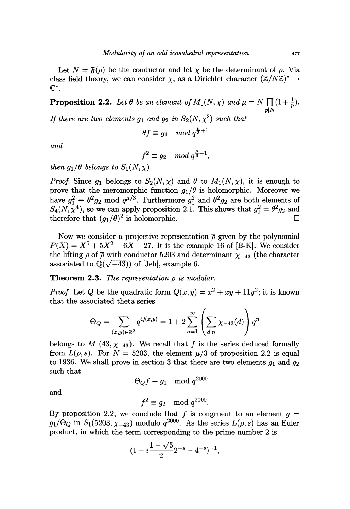Let  $N = \mathfrak{F}(\rho)$  be the conductor and let  $\chi$  be the determinant of  $\rho$ . Via class field theory, we can consider  $\chi$ , as a Dirichlet character  $(\mathbb{Z}/N\mathbb{Z})^* \to$  $\mathbb{C}^*$ .

**Proposition 2.2.** Let  $\theta$  be an element of  $M_1(N, \chi)$  and  $\mu = N \prod_{p|N} (1 + \frac{1}{p})$ .

If there are two elements  $g_1$  and  $g_2$  in  $S_2(N, \chi^2)$  such that

$$
\theta f \equiv g_1 \mod q^{\frac{\mu}{3}+1}
$$

and

$$
f^2 \equiv g_2 \mod q^{\frac{\mu}{3}+1},
$$

then  $g_1/\theta$  belongs to  $S_1(N, \chi)$ .

*Proof.* Since  $g_1$  belongs to  $S_2(N, \chi)$  and  $\theta$  to  $M_1(N, \chi)$ , it is enough to prove that the meromorphic function  $g_1/\theta$  is holomorphic. Moreover we have  $g_1^2 \equiv \theta^2 g_2 \mod q^{\mu/3}$ . Furthermore  $g_1^2$  and  $\theta^2 g_2$  are both elements of  $S_4(N, \chi^4)$ , so we can apply proposition 2.1. This shows that  $g_1^2 = \theta^2 g_2$  and therefore that  $(g_1/\theta)^2$  is holomorphic.

Now we consider a projective representation  $\bar{\rho}$  given by the polynomial  $P(X) = X^5 + 5X^2 - 6X + 27$ . It is the example 16 of [B-K]. We consider the lifting  $\rho$  of  $\bar{\rho}$  with conductor 5203 and determinant  $\chi_{-43}$  (the character associated to  $\mathbb{Q}(\sqrt{-43})$  of [Jeh], example 6.

**Theorem 2.3.** The representation  $\rho$  is modular.

*Proof.* Let Q be the quadratic form  $Q(x, y) = x^2 + xy + 11y^2$ ; it is known that the associated theta series

$$
\Theta_Q = \sum_{(x,y)\in\mathbb{Z}^2} q^{Q(x,y)} = 1 + 2\sum_{n=1}^{\infty} \left(\sum_{d|n} \chi_{-43}(d)\right) q^n
$$

belongs to  $M_1(43, \chi_{-43})$ . We recall that f is the series deduced formally from  $L(\rho, s)$ . For  $N = 5203$ , the element  $\mu/3$  of proposition 2.2 is equal to 1936. We shall prove in section 3 that there are two elements  $g_1$  and  $g_2$ such that

$$
\Theta_O f \equiv g_1 \mod q^{2000}
$$

and

$$
f^2 \equiv g_2 \mod q^{2000}.
$$

By proposition 2.2, we conclude that f is congruent to an element  $g =$  $g_1/\Theta_Q$  in  $S_1(5203, \chi_{-43})$  modulo  $q^{2000}$ . As the series  $L(\rho, s)$  has an Euler product, in which the term corresponding to the prime number 2 is

$$
(1 - i\frac{1 - \sqrt{5}}{2}2^{-s} - 4^{-s})^{-1},
$$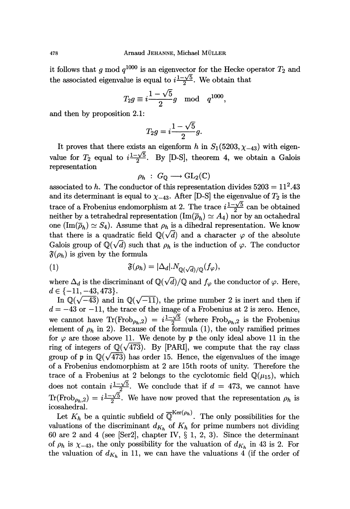it follows that g mod  $q^{1000}$  is an eigenvector for the Hecke operator  $T_2$  and the associated eigenvalue is equal to  $i\frac{1-\sqrt{5}}{2}$ . We obtain that

$$
T_2 g \equiv i \frac{1-\sqrt{5}}{2} g \mod\ q^{1000}.
$$

and then by proposition 2.1:

$$
T_2 g = i \frac{1 - \sqrt{5}}{2} g.
$$

It proves that there exists an eigenform h in  $S_1(5203, \chi_{-43})$  with eigenvalue for  $T_2$  equal to  $i\frac{1-\sqrt{5}}{2}$ . By [D-S], theorem 4, we obtain a Galois representation

$$
\rho_h \; : \; G_{\mathbb{Q}} \longrightarrow \text{GL}_2(\mathbb{C})
$$

associated to h. The conductor of this representation divides  $5203 = 11^2.43$ and its determinant is equal to  $\chi_{-43}$ . After [D-S] the eigenvalue of  $T_2$  is the trace of a Frobenius endomorphism at 2. The trace  $i\frac{1-\sqrt{5}}{2}$  can be obtained neither by a tetrahedral representation  $(\text{Im}(\bar{\rho}_h) \simeq A_4)$  nor by an octahedral one  $(\text{Im}(\bar{\rho}_h) \simeq S_4)$ . Assume that  $\rho_h$  is a dihedral representation. We know that there is a quadratic field  $\mathbb{Q}(\sqrt{d})$  and a character  $\varphi$  of the absolute Galois group of  $\mathbb{Q}(\sqrt{d})$  such that  $\rho_h$  is the induction of  $\varphi$ . The conductor  $\mathfrak{F}(\rho_h)$  is given by the formula

(1) 
$$
\mathfrak{F}(\rho_h) = |\Delta_d| \cdot N_{\mathbb{Q}(\sqrt{d})/\mathbb{Q}}(f_{\varphi}),
$$

where  $\Delta_d$  is the discriminant of  $\mathbb{Q}(\sqrt{d})/\mathbb{Q}$  and  $f_{\varphi}$  the conductor of  $\varphi$ . Here,  $d \in \{-11,-43,473\}.$ 

In  $\mathbb{Q}(\sqrt{-43})$  and in  $\mathbb{Q}(\sqrt{-11})$ , the prime number 2 is inert and then if  $d = -43$  or  $-11$ , the trace of the image of a Frobenius at 2 is zero. Hence, we cannot have  $\text{Tr}(\text{Frob}_{\rho_h,2}) = i \frac{1-\sqrt{5}}{2}$  (where  $\text{Frob}_{\rho_h,2}$  is the Frobenius element of  $\rho_h$  in 2). Because of the formula (1), the only ramified primes for  $\varphi$  are those above 11. We denote by p the only ideal above 11 in the ring of integers of  $\mathbb{Q}(\sqrt{473})$ . By [PARI], we compute that the ray class group of p in  $\mathbb{Q}(\sqrt{473})$  has order 15. Hence, the eigenvalues of the image of a Frobenius endomorphism at 2 are 15th roots of unity. Therefore the trace of a Frobenius at 2 belongs to the cyclotomic field  $\mathbb{Q}(\mu_{15})$ , which does not contain  $i\frac{1-\sqrt{5}}{2}$ . We conclude that if  $d = 473$ , we cannot have  $\text{Tr}(\text{Frob}_{\rho_h,2}) = i \frac{1-\sqrt{5}}{2}$ . We have now proved that the representation  $\rho_h$  is icosahedral.

Let  $K_h$  be a quintic subfield of  $\overline{\mathbb{Q}}^{\text{Ker}(\rho_h)}$ . The only possibilities for the valuations of the discriminant  $d_{K_h}$  of  $K_h$  for prime numbers not dividing 60 are 2 and 4 (see [Ser2], chapter IV,  $\S$  1, 2, 3). Since the determinant of  $\rho_h$  is  $\chi_{-43}$ , the only possibility for the valuation of  $d_{K_h}$  in 43 is 2. For the valuation of  $d_{K_h}$  in 11, we can have the valuations 4 (if the order of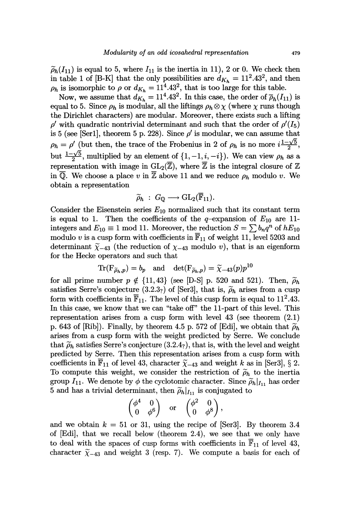$\widetilde{\rho}_h(I_{11})$  is equal to 5, where  $I_{11}$  is the inertia in 11), 2 or 0. We check then in table 1 of [B-K] that the only possibilities are  $d_{K_h} = 11^2.43^2$ , and then  $\rho_h$  is isomorphic to  $\rho$  or  $d_{K_h} = 11^4.43^2$ , that is too large for this table.

Now, we assume that  $d_{K_h} = 11^4.43^2$ . In this case, the order of  $\overline{\rho}_h(I_{11})$  is equal to 5. Since  $\rho_h$  is modular, all the liftings  $\rho_h \otimes \chi$  (where  $\chi$  runs though the Dirichlet characters) are modular. Moreover, there exists such a lifting  $\rho'$  with quadratic nontrivial determinant and such that the order of  $\rho' (I_5)$ is 5 (see [Ser1], theorem 5 p. 228). Since  $\rho'$  is modular, we can assume that  $\rho_h = \rho'$  (but then, the trace of the Frobenius in 2 of  $\rho_h$  is no more  $i\frac{1-\sqrt{5}}{2}$ , but  $\frac{1-\sqrt{5}}{2}$ , multiplied by an element of  $\{1, -1, i, -i\}$ ). We can view  $\rho_h$  as a representation with image in  $GL_2(\overline{\mathbb{Z}})$ , where  $\overline{\mathbb{Z}}$  is the integral closure of  $\mathbb Z$ in  $\overline{Q}$ . We choose a place v in  $\overline{Z}$  above 11 and we reduce  $\rho_h$  modulo v. We obtain a representation

$$
\widetilde{\rho}_h \; : \; G_{\mathbb{Q}} \longrightarrow \mathrm{GL}_2(\overline{\mathbb{F}}_{11}).
$$

Consider the Eisenstein series  $E_{10}$  normalized such that its constant term is equal to 1. Then the coefficients of the q-expansion of  $E_{10}$  are 11integers and  $E_{10} \equiv 1 \mod 11$ . Moreover, the reduction  $S = \sum b_n q^n$  of  $hE_{10}$ modulo v is a cusp form with coefficients in  $\overline{F}_{11}$  of weight 11, level 5203 and determinant  $\tilde{\chi}_{-43}$  (the reduction of  $\chi_{-43}$  modulo v), that is an eigenform for the Hecke operators and such that

$$
\text{Tr}(\mathbf{F}_{\widetilde{\rho}_h, p}) = b_p \quad \text{and} \quad \det(\mathbf{F}_{\widetilde{\rho}_h, p}) = \widetilde{\chi}_{-43}(p) p^{10}
$$

for all prime number  $p \notin \{11, 43\}$  (see [D-S] p. 520 and 521). Then,  $\widetilde{\rho}_h$ satisfies Serre's conjecture (3.2.3<sub>?</sub>) of [Ser3], that is,  $\rho_h$  arises from a cusp form with coefficients in  $\overline{\mathbb{F}}_{11}$ . The level of this cusp form is equal to 11<sup>2</sup>.43. In this case, we know that we can "take off" the 11-part of this level. This representation arises from a cusp form with level 43 (see theorem (2.1) p. 643 of [Rib]). Finally, by theorem 4.5 p. 572 of [Edi], we obtain that  $\tilde{\rho}_h$ arises from a cusp form with the weight predicted by Serre. We conclude that  $\widetilde{\rho}_h$  satisfies Serre's conjecture (3.2.4<sub>?</sub>), that is, with the level and weight predicted by Serre. Then this representation arises from a cusp form with coefficients in  $\overline{\mathbb{F}}_{11}$  of level 43, character  $\widetilde{\chi}_{-43}$  and weight k as in [Ser3], § 2. To compute this weight, we consider the restriction of  $\tilde{\rho}_h$  to the inertia group  $I_{11}$ . We denote by  $\phi$  the cyclotomic character. Since  $\tilde{\rho}_h|_{I_{11}}$  has order 5 and has a trivial determinant, then  $\tilde{\rho}_h|_{I_{11}}$  is conjugated to

$$
\begin{pmatrix} \phi^4 & 0 \\ 0 & \phi^6 \end{pmatrix} \quad \text{or} \quad \begin{pmatrix} \phi^2 & 0 \\ 0 & \phi^8 \end{pmatrix},
$$

and we obtain  $k = 51$  or 31, using the recipe of [Ser3]. By theorem 3.4 of [Edi], that we recall below (theorem 2.4), we see that we only have to deal with the spaces of cusp forms with coefficients in  $\overline{F}_{11}$  of level 43, character  $\tilde{\chi}_{-43}$  and weight 3 (resp. 7). We compute a basis for each of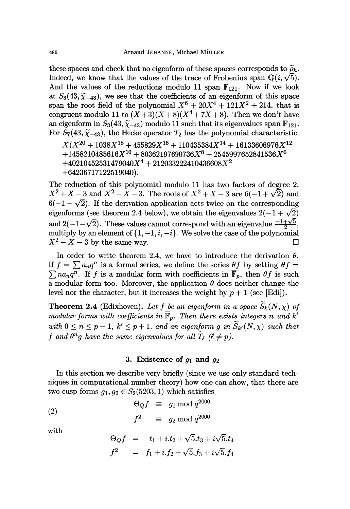these spaces and check that no eigenform of these spaces corresponds to  $\tilde{\rho}_h$ . Indeed, we know that the values of the trace of Frobenius span  $\mathbb{Q}(i, \sqrt{5})$ . And the values of the reductions modulo 11 span  $\mathbb{F}_{121}$ . Now if we look at  $S_3(43, \tilde{\chi}_{-43})$ , we see that the coefficients of an eigenform of this space span the root field of the polynomial  $X^6 + 20X^4 + 121X^2 + 214$ , that is congruent modulo 11 to  $(X+3)(X+8)(X^4+7X+8)$ . Then we don't have an eigenform in  $S_3(43, \tilde{\chi}_{-43})$  modulo 11 such that its eigenvalues span  $\mathbb{F}_{121}$ . For  $S_7(43, \widetilde{\chi}_{-43})$ , the Hecke operator  $T_2$  has the polynomial characteristic

 $X(X^{20} + 1038X^{18} + 455829X^{16} + 110435384X^{14} + 16133606976X^{12}$  $+1458210485616X^{10} + 80362197690736X^8 + 2545997652841536X^6$  $+40210452531479040X^{4}+212033222410436608X^{2}$  $+64236717122519040$ .

The reduction of this polynomial modulo 11 has two factors of degree 2:  $X^2 + X - 3$  and  $X^2 - X - 3$ . The roots of  $X^2 + X - 3$  are  $6(-1 + \sqrt{2})$  and  $6(-1 - \sqrt{2})$ . If the derivation application acts twice on the corresponding eigenforms (see theorem 2.4 below), we obtain the eigenvalues  $2(-1+\sqrt{2})$ and  $2(-1-\sqrt{2})$ . These values cannot correspond with an eigenvalue  $\frac{-1+\sqrt{5}}{2}$ , multiply by an element of  $\{1, -1, i, -i\}$ . We solve the case of the polynomial  $X^2 - X - 3$  by the same way.

In order to write theorem 2.4, we have to introduce the derivation  $\theta$ . If  $f = \sum a_n q^n$  is a formal series, we define the series  $\theta f$  by setting  $\theta f =$  $\sum na_n q^n$ . If f is a modular form with coefficients in  $\overline{\mathbb{F}}_p$ , then  $\theta f$  is such a modular form too. Moreover, the application  $\theta$  does neither change the level nor the character, but it increases the weight by  $p + 1$  (see [Edi]).

**Theorem 2.4** (Edixhoven). Let f be an eigenform in a space  $\widetilde{S}_k(N, \chi)$  of modular forms with coefficients in  $\overline{\mathbb{F}}_p$ . Then there exists integers n and k' with  $0 \le n \le p - 1$ ,  $k' \le p + 1$ , and an eigenform g in  $\widetilde{S}_{k'}(N, \chi)$  such that f and  $\theta^n g$  have the same eigenvalues for all  $\widetilde{T}_{\ell}$  ( $\ell \neq p$ ).

#### 3. Existence of  $g_1$  and  $g_2$

In this section we describe very briefly (since we use only standard techniques in computational number theory) how one can show, that there are two cusp forms  $g_1, g_2 \in S_2(5203, 1)$  which satisfies

$$
\Theta_Q f \equiv g_1 \bmod q^{2000}
$$

 $\equiv$   $g_2 \bmod q^{2000}$  $f^2$ 

with

$$
\Theta_Q f = t_1 + i \cdot t_2 + \sqrt{5} \cdot t_3 + i \sqrt{5} \cdot t_4
$$
  

$$
f^2 = f_1 + i \cdot f_2 + \sqrt{5} \cdot f_3 + i \sqrt{5} \cdot f_4
$$

480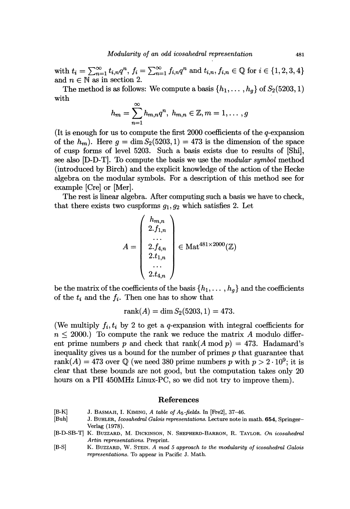with  $t_i = \sum_{n=1}^{\infty} t_{i,n} q^n$ ,  $f_i = \sum_{n=1}^{\infty} f_{i,n} q^n$  and  $t_{i,n}, f_{i,n} \in \mathbb{Q}$  for  $i \in \{1, 2, 3, 4\}$ <br>and  $n \in \mathbb{N}$  as in section 2.

The method is as follows: We compute a basis  $\{h_1, \ldots, h_g\}$  of  $S_2(5203, 1)$  with with  $\infty$ 

$$
h_m = \sum_{n=1}^{\infty} h_{m,n} q^n, \ h_{m,n} \in \mathbb{Z}, m = 1, \ldots, g
$$

(It is enough for us to compute the first 2000 coefficients of the  $q$ -expansion of the  $h_m$ ). Here  $g = \dim S_2(5203, 1) = 473$  is the dimension of the space of cusp forms of level 5203. Such a basis exists due to results of [Shi], see also [D-D-T]. To compute the basis we use the *modular symbol* method (introduced by Birch) and the explicit knowledge of the action of the Hecke algebra on the modular symbols. For a description of this method see for example [Cre] or [Mer].

The rest is linear algebra. After computing such a basis we have to check, that there exists two cuspforms  $g_1, g_2$  which satisfies 2. Let

$$
A = \begin{pmatrix} h_{m,n} \\ 2.f_{1,n} \\ \dots \\ 2.f_{4,n} \\ 2.t_{1,n} \\ \dots \\ 2.t_{4,n} \end{pmatrix} \in \text{Mat}^{481 \times 2000}(\mathbb{Z})
$$

be the matrix of the coefficients of the basis  $\{h_1, \ldots, h_g\}$  and the coefficients of the  $t_i$  and the  $f_i$ . Then one has to show that

$$
rank(A) = \dim S_2(5203, 1) = 473.
$$

(We multiply  $f_i, t_i$  by 2 to get a q-expansion with integral coefficients for  $r \leq 2000$ .) To compute the rank we reduce the matrix A modulo different prime numbers p and check that rank(A mod  $p$ ) = 473. Hadamard's inequality gives us a bound for the number of primes  $p$  that guarantee that rank $(A) = 473$  over Q (we need 380 prime numbers p with  $p > 2 \cdot 10^9$ ; it is clear that these bounds are not good, but the computation takes only 20 hours on a PII 450MHz Linux-PC, so we did not try to improve them).

#### References

- [B-K] J. BASMAJI, I. KIMING, A table of A<sub>5</sub>-fields. In [Fre2], 37–46.<br>[Buh] J. BUHLER, *Icosahedral Galois representations*. Lecture note in
- J. BUHLER, Icosahedral Galois representations. Lecture note in math. 654, Springer-Verlag (1978).
- [B-D-SB-T] K. BUZZARD, M. DICKINSON, N. SHEPHERD-BARRON, R. TAYLOR. On icosahedral Artin representations. Preprint.
- [B-S] K. BUZZARD, W. STEIN. A mod 5 approach to the modularity of icosahedral Galois representations. To appear in Pacific J. Math.